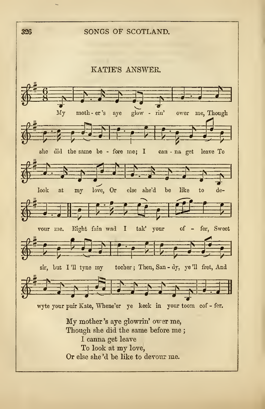326 SONGS OF SCOTLAND.